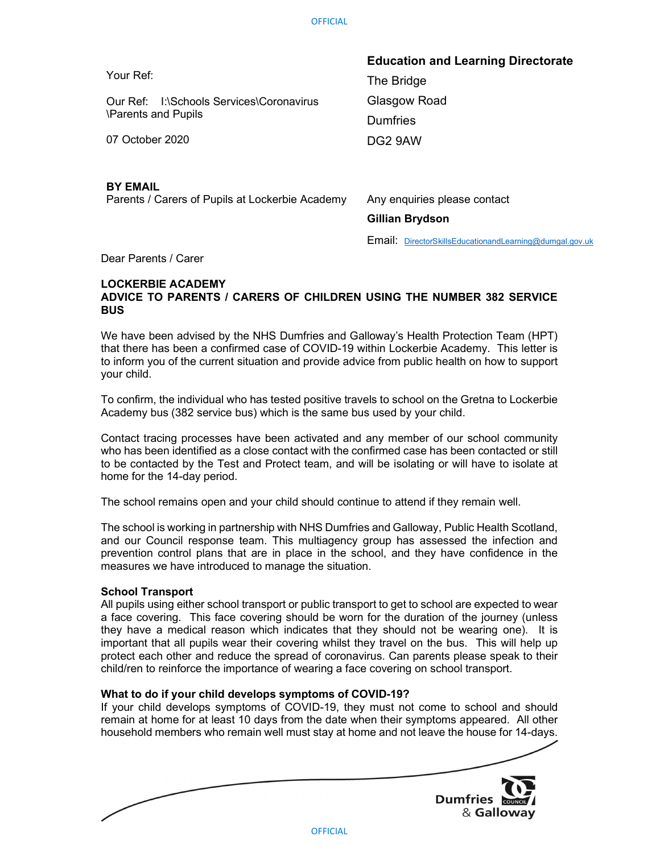| <b>Education and Learning Directorate</b> |
|-------------------------------------------|
| The Bridge                                |
| Glasgow Road                              |
| <b>Dumfries</b>                           |
| DG2 9AW                                   |
|                                           |
|                                           |

## BY EMAIL

Parents / Carers of Pupils at Lockerbie Academy Any enquiries please contact

Gillian Brydson

Email: DirectorSkillsEducationandLearning@dumgal.gov.uk

Dear Parents / Carer

## LOCKERBIE ACADEMY ADVICE TO PARENTS / CARERS OF CHILDREN USING THE NUMBER 382 SERVICE BUS

We have been advised by the NHS Dumfries and Galloway's Health Protection Team (HPT) that there has been a confirmed case of COVID-19 within Lockerbie Academy. This letter is to inform you of the current situation and provide advice from public health on how to support your child.

To confirm, the individual who has tested positive travels to school on the Gretna to Lockerbie Academy bus (382 service bus) which is the same bus used by your child.

Contact tracing processes have been activated and any member of our school community who has been identified as a close contact with the confirmed case has been contacted or still to be contacted by the Test and Protect team, and will be isolating or will have to isolate at home for the 14-day period.

The school remains open and your child should continue to attend if they remain well.

The school is working in partnership with NHS Dumfries and Galloway, Public Health Scotland, and our Council response team. This multiagency group has assessed the infection and prevention control plans that are in place in the school, and they have confidence in the measures we have introduced to manage the situation.

## School Transport

All pupils using either school transport or public transport to get to school are expected to wear a face covering. This face covering should be worn for the duration of the journey (unless they have a medical reason which indicates that they should not be wearing one). It is important that all pupils wear their covering whilst they travel on the bus. This will help up protect each other and reduce the spread of coronavirus. Can parents please speak to their child/ren to reinforce the importance of wearing a face covering on school transport.

# What to do if your child develops symptoms of COVID-19?

If your child develops symptoms of COVID-19, they must not come to school and should remain at home for at least 10 days from the date when their symptoms appeared. All other household members who remain well must stay at home and not leave the house for 14-days.